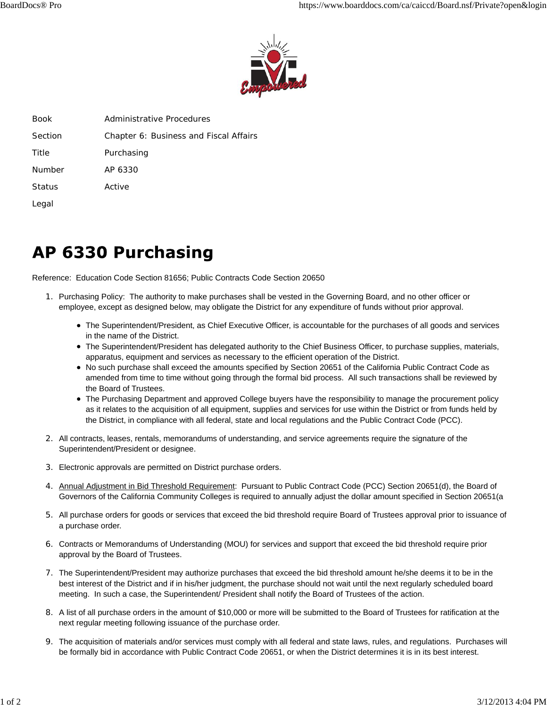

| Book    | Administrative Procedures              |
|---------|----------------------------------------|
| Section | Chapter 6: Business and Fiscal Affairs |
| Title   | Purchasing                             |
| Number  | AP 6330                                |
| Status  | Active                                 |
| Legal   |                                        |

## **AP 6330 Purchasing**

Reference: Education Code Section 81656; Public Contracts Code Section 20650

- 1. Purchasing Policy: The authority to make purchases shall be vested in the Governing Board, and no other officer or employee, except as designed below, may obligate the District for any expenditure of funds without prior approval.
	- The Superintendent/President, as Chief Executive Officer, is accountable for the purchases of all goods and services in the name of the District.
	- The Superintendent/President has delegated authority to the Chief Business Officer, to purchase supplies, materials, apparatus, equipment and services as necessary to the efficient operation of the District.
	- No such purchase shall exceed the amounts specified by Section 20651 of the California Public Contract Code as amended from time to time without going through the formal bid process. All such transactions shall be reviewed by the Board of Trustees.
	- The Purchasing Department and approved College buyers have the responsibility to manage the procurement policy as it relates to the acquisition of all equipment, supplies and services for use within the District or from funds held by the District, in compliance with all federal, state and local regulations and the Public Contract Code (PCC).
- 2. All contracts, leases, rentals, memorandums of understanding, and service agreements require the signature of the Superintendent/President or designee.
- 3. Electronic approvals are permitted on District purchase orders.
- 4. Annual Adjustment in Bid Threshold Requirement: Pursuant to Public Contract Code (PCC) Section 20651(d), the Board of Governors of the California Community Colleges is required to annually adjust the dollar amount specified in Section 20651(a
- 5. All purchase orders for goods or services that exceed the bid threshold require Board of Trustees approval prior to issuance of a purchase order.
- Contracts or Memorandums of Understanding (MOU) for services and support that exceed the bid threshold require prior 6. approval by the Board of Trustees.
- 7. The Superintendent/President may authorize purchases that exceed the bid threshold amount he/she deems it to be in the best interest of the District and if in his/her judgment, the purchase should not wait until the next regularly scheduled board meeting. In such a case, the Superintendent/ President shall notify the Board of Trustees of the action.
- 8. A list of all purchase orders in the amount of \$10,000 or more will be submitted to the Board of Trustees for ratification at the next regular meeting following issuance of the purchase order.
- 9. The acquisition of materials and/or services must comply with all federal and state laws, rules, and regulations. Purchases will be formally bid in accordance with Public Contract Code 20651, or when the District determines it is in its best interest.